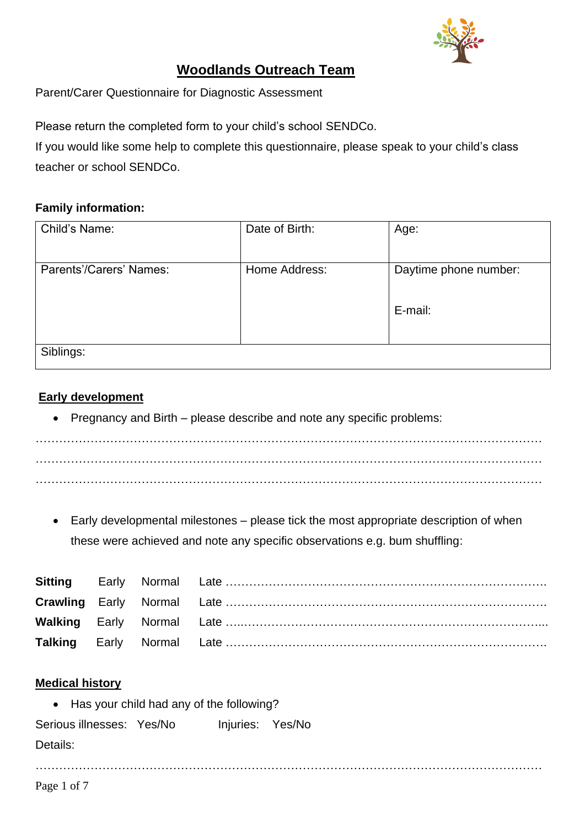

# **Woodlands Outreach Team**

Parent/Carer Questionnaire for Diagnostic Assessment

Please return the completed form to your child's school SENDCo.

If you would like some help to complete this questionnaire, please [speak](mailto:julie.medhurst@medway.gov.uk) to your child's class teacher or school SENDCo.

### **Family information:**

| Child's Name:           | Date of Birth: | Age:                  |
|-------------------------|----------------|-----------------------|
| Parents'/Carers' Names: | Home Address:  |                       |
|                         |                | Daytime phone number: |
|                         |                |                       |
|                         |                | E-mail:               |
|                         |                |                       |
| Siblings:               |                |                       |
|                         |                |                       |

### **Early development**

• Pregnancy and Birth – please describe and note any specific problems:

 $\mathcal{L}^{(n)}$  . The contract of the contract of the contract of the contract of the contract of the contract of the contract of the contract of the contract of the contract of the contract of the contract of the contract o . The contract of the contract of the contract of the contract of the contract of the contract of the contract of the contract of the contract of the contract of the contract of the contract of the contract of the contrac

• Early developmental milestones – please tick the most appropriate description of when these were achieved and note any specific observations e.g. bum shuffling:

…………………………………………………………………………………………………………………

### **Medical history**

• Has your child had any of the following?

Serious illnesses: Yes/No Injuries: Yes/No Details: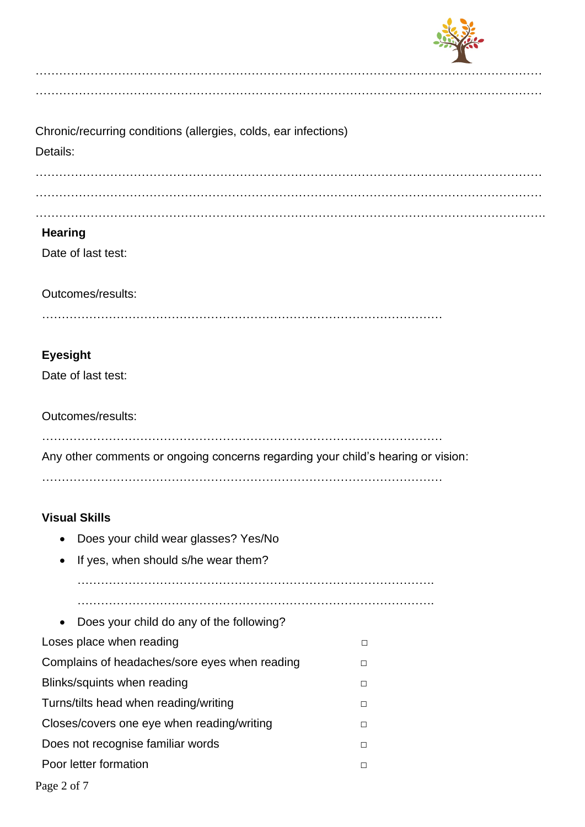

| Chronic/recurring conditions (allergies, colds, ear infections)<br>Details:       |        |
|-----------------------------------------------------------------------------------|--------|
|                                                                                   |        |
| <b>Hearing</b>                                                                    |        |
| Date of last test:                                                                |        |
| Outcomes/results:                                                                 |        |
| <b>Eyesight</b>                                                                   |        |
| Date of last test:                                                                |        |
| Outcomes/results:                                                                 |        |
| Any other comments or ongoing concerns regarding your child's hearing or vision:  |        |
|                                                                                   |        |
| <b>Visual Skills</b>                                                              |        |
| Does your child wear glasses? Yes/No                                              |        |
| If yes, when should s/he wear them?<br>٠                                          |        |
|                                                                                   |        |
|                                                                                   |        |
| Does your child do any of the following?<br>$\bullet$<br>Loses place when reading | □      |
| Complains of headaches/sore eyes when reading                                     | $\Box$ |
| Blinks/squints when reading                                                       | $\Box$ |

…………………………………………………………………………………………………………………

- Turns/tilts head when reading/writing □ Closes/covers one eye when reading/writing □ □ Does not recognise familiar words □
- Poor letter formation □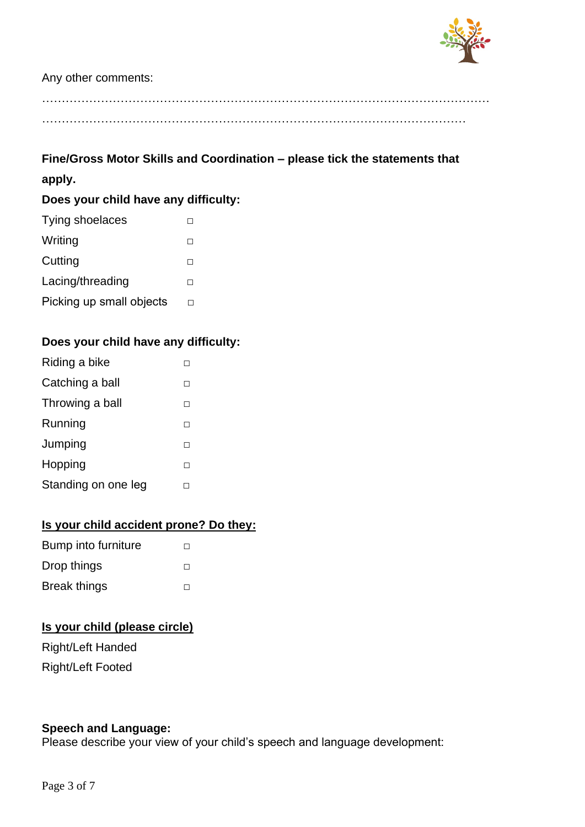

#### Any other comments:

# **Fine/Gross Motor Skills and Coordination – please tick the statements that apply.**

### **Does your child have any difficulty:**

| Tying shoelaces          |  |
|--------------------------|--|
| Writing                  |  |
| Cutting                  |  |
| Lacing/threading         |  |
| Picking up small objects |  |
|                          |  |

### **Does your child have any difficulty:**

| Riding a bike       |  |
|---------------------|--|
| Catching a ball     |  |
| Throwing a ball     |  |
| Running             |  |
| Jumping             |  |
| Hopping             |  |
| Standing on one leg |  |

### **Is your child accident prone? Do they:**

| Bump into furniture | H      |
|---------------------|--------|
| Drop things         | $\Box$ |
| <b>Break things</b> | $\Box$ |

### **Is your child (please circle)**

Right/Left Handed Right/Left Footed

### **Speech and Language:**

Please describe your view of your child's speech and language development: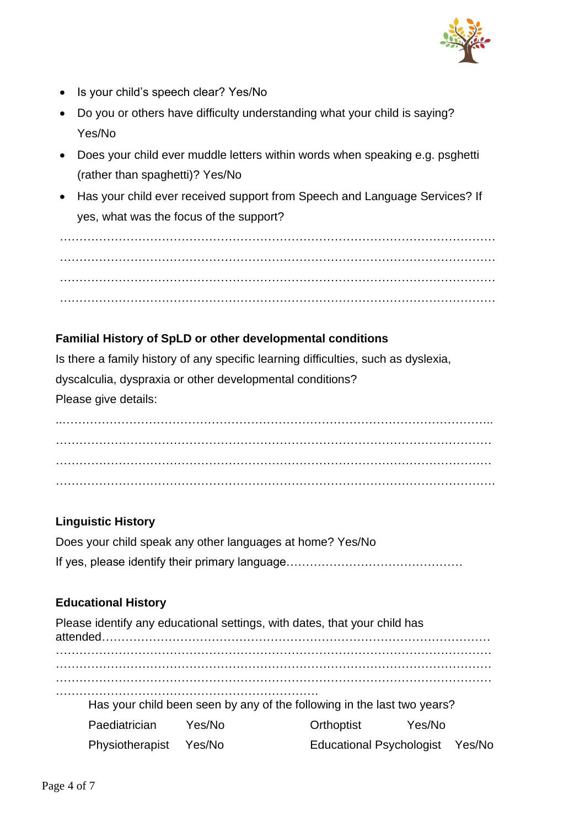

- Is your child's speech clear? Yes/No
- Do you or others have difficulty understanding what your child is saying? Yes/No
- Does your child ever muddle letters within words when speaking e.g. psghetti (rather than spaghetti)? Yes/No
- Has your child ever received support from Speech and Language Services? If yes, what was the focus of the support?

………………………………………………………………………………………………… ………………………………………………………………………………………………… …………………………………………………………………………………………………

### **Familial History of SpLD or other developmental conditions**

Is there a family history of any specific learning difficulties, such as dyslexia, dyscalculia, dyspraxia or other developmental conditions? Please give details:

..……………………………………………………………………………………………….. ………………………………………………………………………………………………… ………………………………………………………………………………………………… ………………………………………………………………………………………………….

### **Linguistic History**

Does your child speak any other languages at home? Yes/No If yes, please identify their primary language………………………………………

### **Educational History**

Please identify any educational settings, with dates, that your child has attended……………………………………………………………………………………… ………………………………………………………………………………………………… ………………………………………………………………………………………………… ………………………………………………………………………………………………… …………………………………………………………. Has your child been seen by any of the following in the last two years? Paediatrician Yes/No Physiotherapist Yes/No Orthoptist Yes/No Educational Psychologist Yes/No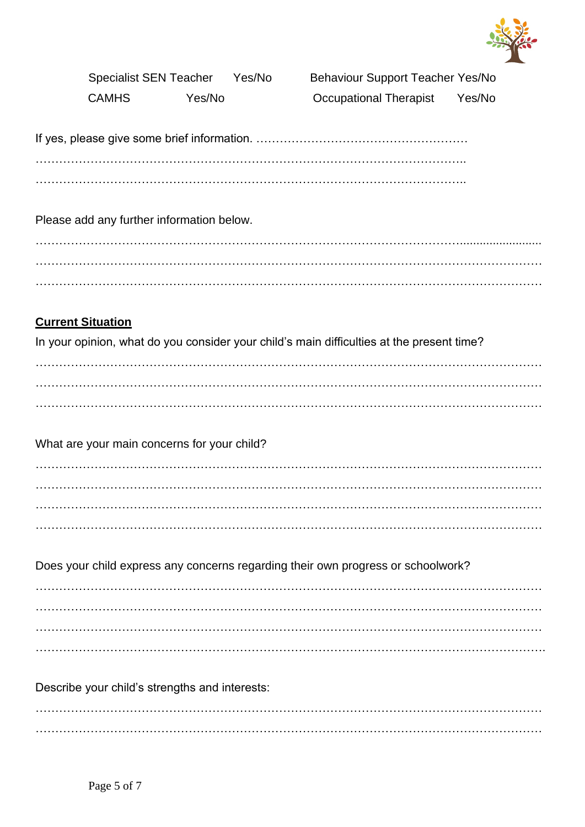

Specialist SEN Teacher Yes/No Behaviour Support Teacher Yes/No CAMHS Yes/No Occupational Therapist Yes/No

If yes, please give some brief information. ……………………………………………… ………………………………………………………………………………………………..

Please add any further information below.

………………………………………………………………………………………………......................... ………………………………………………………………………………………………………………… . The contract of the contract of the contract of the contract of the contract of the contract of the contract of the contract of the contract of the contract of the contract of the contract of the contract of the contrac

## **Current Situation**

In your opinion, what do you consider your child's main difficulties at the present time?

………………………………………………………………………………………………………………… ………………………………………………………………………………………………………………… …………………………………………………………………………………………………………………

What are your main concerns for your child?

………………………………………………………………………………………………………………… ………………………………………………………………………………………………………………… ………………………………………………………………………………………………………………… …………………………………………………………………………………………………………………

Does your child express any concerns regarding their own progress or schoolwork?

………………………………………………………………………………………………………………… ………………………………………………………………………………………………………………… ………………………………………………………………………………………………………………… . The contract of the contract of the contract of the contract of the contract of the contract of the contract of the contract of the contract of the contract of the contract of the contract of the contract of the contrac

Describe your child's strengths and interests:

 $\mathcal{L}^{\text{max}}$ …………………………………………………………………………………………………………………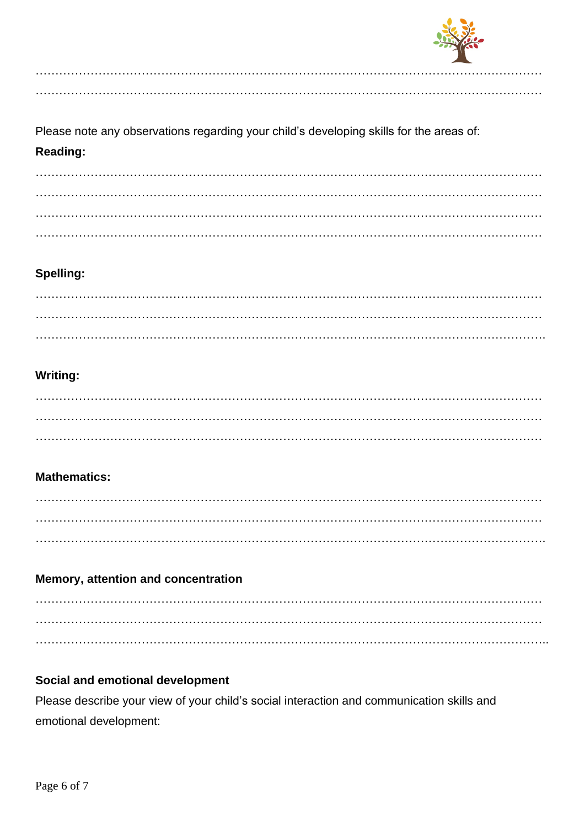

Please note any observations regarding your child's developing skills for the areas of: Reading:

#### Spelling:

### **Writing:**

### **Mathematics:**

#### Memory, attention and concentration

### Social and emotional development

Please describe your view of your child's social interaction and communication skills and emotional development: